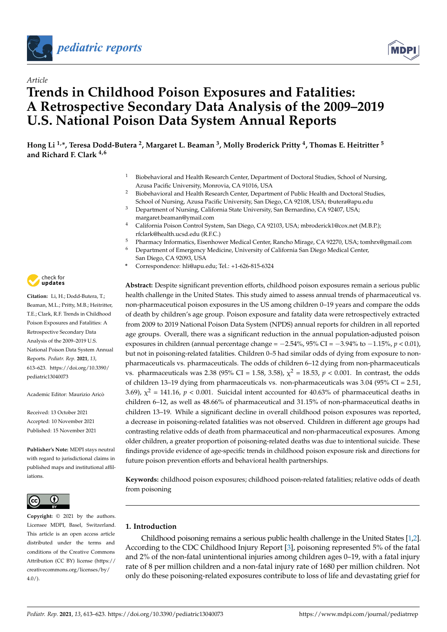



# *Article* **Trends in Childhood Poison Exposures and Fatalities: A Retrospective Secondary Data Analysis of the 2009–2019 U.S. National Poison Data System Annual Reports**

**Hong Li 1,\*, Teresa Dodd-Butera <sup>2</sup> , Margaret L. Beaman <sup>3</sup> , Molly Broderick Pritty <sup>4</sup> , Thomas E. Heitritter <sup>5</sup> and Richard F. Clark 4,6**

- <sup>1</sup> Biobehavioral and Health Research Center, Department of Doctoral Studies, School of Nursing, Azusa Pacific University, Monrovia, CA 91016, USA
- <sup>2</sup> Biobehavioral and Health Research Center, Department of Public Health and Doctoral Studies, School of Nursing, Azusa Pacific University, San Diego, CA 92108, USA; tbutera@apu.edu
- <sup>3</sup> Department of Nursing, California State University, San Bernardino, CA 92407, USA; margaret.beaman@ymail.com
- <sup>4</sup> California Poison Control System, San Diego, CA 92103, USA; mbroderick1@cox.net (M.B.P.); rfclark@health.ucsd.edu (R.F.C.)
- <sup>5</sup> Pharmacy Informatics, Eisenhower Medical Center, Rancho Mirage, CA 92270, USA; tomhrx@gmail.com
- <sup>6</sup> Department of Emergency Medicine, University of California San Diego Medical Center, San Diego, CA 92093, USA
- **\*** Correspondence: hli@apu.edu; Tel.: +1-626-815-6324

**Abstract:** Despite significant prevention efforts, childhood poison exposures remain a serious public health challenge in the United States. This study aimed to assess annual trends of pharmaceutical vs. non-pharmaceutical poison exposures in the US among children 0–19 years and compare the odds of death by children's age group. Poison exposure and fatality data were retrospectively extracted from 2009 to 2019 National Poison Data System (NPDS) annual reports for children in all reported age groups. Overall, there was a significant reduction in the annual population-adjusted poison exposures in children (annual percentage change = −2.54%, 95% CI = −3.94% to −1.15%, *p* < 0.01), but not in poisoning-related fatalities. Children 0–5 had similar odds of dying from exposure to nonpharmaceuticals vs. pharmaceuticals. The odds of children 6–12 dying from non-pharmaceuticals vs. pharmaceuticals was 2.38 (95% CI = 1.58, 3.58),  $\chi^2$  = 18.53,  $p < 0.001$ . In contrast, the odds of children 13–19 dying from pharmaceuticals vs. non-pharmaceuticals was  $3.04$  (95% CI = 2.51, 3.69),  $\chi^2$  = 141.16,  $p < 0.001$ . Suicidal intent accounted for 40.63% of pharmaceutical deaths in children 6–12, as well as 48.66% of pharmaceutical and 31.15% of non-pharmaceutical deaths in children 13–19. While a significant decline in overall childhood poison exposures was reported, a decrease in poisoning-related fatalities was not observed. Children in different age groups had contrasting relative odds of death from pharmaceutical and non-pharmaceutical exposures. Among older children, a greater proportion of poisoning-related deaths was due to intentional suicide. These findings provide evidence of age-specific trends in childhood poison exposure risk and directions for future poison prevention efforts and behavioral health partnerships.

**Keywords:** childhood poison exposures; childhood poison-related fatalities; relative odds of death from poisoning

# **1. Introduction**

Childhood poisoning remains a serious public health challenge in the United States [\[1](#page-9-0)[,2\]](#page-9-1). According to the CDC Childhood Injury Report [\[3\]](#page-9-2), poisoning represented 5% of the fatal and 2% of the non-fatal unintentional injuries among children ages 0–19, with a fatal injury rate of 8 per million children and a non-fatal injury rate of 1680 per million children. Not only do these poisoning-related exposures contribute to loss of life and devastating grief for



**Citation:** Li, H.; Dodd-Butera, T.; Beaman, M.L.; Pritty, M.B.; Heitritter, T.E.; Clark, R.F. Trends in Childhood Poison Exposures and Fatalities: A Retrospective Secondary Data Analysis of the 2009–2019 U.S. National Poison Data System Annual Reports. *Pediatr. Rep.* **2021**, *13*, 613–623. [https://doi.org/10.3390/](https://doi.org/10.3390/pediatric13040073) [pediatric13040073](https://doi.org/10.3390/pediatric13040073)

Academic Editor: Maurizio Aricò

Received: 13 October 2021 Accepted: 10 November 2021 Published: 15 November 2021

**Publisher's Note:** MDPI stays neutral with regard to jurisdictional claims in published maps and institutional affiliations.



**Copyright:** © 2021 by the authors. Licensee MDPI, Basel, Switzerland. This article is an open access article distributed under the terms and conditions of the Creative Commons Attribution (CC BY) license (https:/[/](https://creativecommons.org/licenses/by/4.0/) [creativecommons.org/licenses/by/](https://creativecommons.org/licenses/by/4.0/)  $4.0/$ ).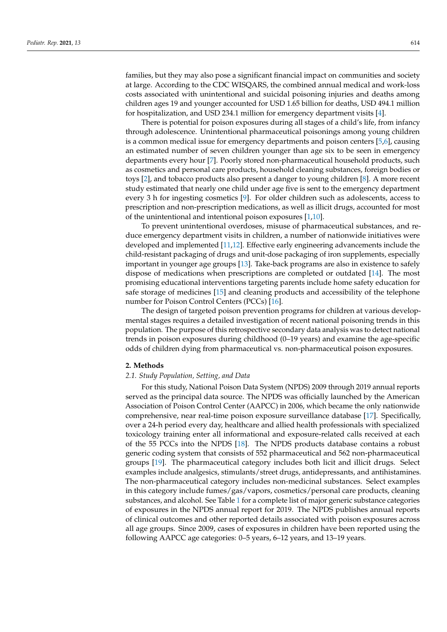families, but they may also pose a significant financial impact on communities and society at large. According to the CDC WISQARS, the combined annual medical and work-loss costs associated with unintentional and suicidal poisoning injuries and deaths among children ages 19 and younger accounted for USD 1.65 billion for deaths, USD 494.1 million for hospitalization, and USD 234.1 million for emergency department visits [\[4\]](#page-9-3).

There is potential for poison exposures during all stages of a child's life, from infancy through adolescence. Unintentional pharmaceutical poisonings among young children is a common medical issue for emergency departments and poison centers [\[5,](#page-9-4)[6\]](#page-9-5), causing an estimated number of seven children younger than age six to be seen in emergency departments every hour [\[7\]](#page-9-6). Poorly stored non-pharmaceutical household products, such as cosmetics and personal care products, household cleaning substances, foreign bodies or toys [\[2\]](#page-9-1), and tobacco products also present a danger to young children [\[8\]](#page-9-7). A more recent study estimated that nearly one child under age five is sent to the emergency department every 3 h for ingesting cosmetics [\[9\]](#page-9-8). For older children such as adolescents, access to prescription and non-prescription medications, as well as illicit drugs, accounted for most of the unintentional and intentional poison exposures [\[1](#page-9-0)[,10\]](#page-9-9).

To prevent unintentional overdoses, misuse of pharmaceutical substances, and reduce emergency department visits in children, a number of nationwide initiatives were developed and implemented [\[11](#page-9-10)[,12\]](#page-9-11). Effective early engineering advancements include the child-resistant packaging of drugs and unit-dose packaging of iron supplements, especially important in younger age groups [\[13\]](#page-9-12). Take-back programs are also in existence to safely dispose of medications when prescriptions are completed or outdated [\[14\]](#page-9-13). The most promising educational interventions targeting parents include home safety education for safe storage of medicines [\[15\]](#page-9-14) and cleaning products and accessibility of the telephone number for Poison Control Centers (PCCs) [\[16\]](#page-9-15).

The design of targeted poison prevention programs for children at various developmental stages requires a detailed investigation of recent national poisoning trends in this population. The purpose of this retrospective secondary data analysis was to detect national trends in poison exposures during childhood (0–19 years) and examine the age-specific odds of children dying from pharmaceutical vs. non-pharmaceutical poison exposures.

#### **2. Methods**

#### *2.1. Study Population, Setting, and Data*

For this study, National Poison Data System (NPDS) 2009 through 2019 annual reports served as the principal data source. The NPDS was officially launched by the American Association of Poison Control Center (AAPCC) in 2006, which became the only nationwide comprehensive, near real-time poison exposure surveillance database [\[17\]](#page-9-16). Specifically, over a 24-h period every day, healthcare and allied health professionals with specialized toxicology training enter all informational and exposure-related calls received at each of the 55 PCCs into the NPDS [\[18\]](#page-9-17). The NPDS products database contains a robust generic coding system that consists of 552 pharmaceutical and 562 non-pharmaceutical groups [\[19\]](#page-9-18). The pharmaceutical category includes both licit and illicit drugs. Select examples include analgesics, stimulants/street drugs, antidepressants, and antihistamines. The non-pharmaceutical category includes non-medicinal substances. Select examples in this category include fumes/gas/vapors, cosmetics/personal care products, cleaning substances, and alcohol. See Table [1](#page-2-0) for a complete list of major generic substance categories of exposures in the NPDS annual report for 2019. The NPDS publishes annual reports of clinical outcomes and other reported details associated with poison exposures across all age groups. Since 2009, cases of exposures in children have been reported using the following AAPCC age categories: 0–5 years, 6–12 years, and 13–19 years.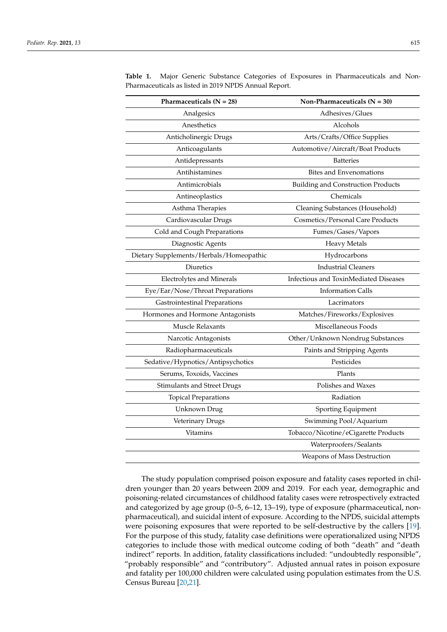|                                         | Non-Pharmaceuticals $(N = 30)$            |  |  |  |
|-----------------------------------------|-------------------------------------------|--|--|--|
| Analgesics                              | Adhesives/Glues                           |  |  |  |
| Anesthetics                             | Alcohols                                  |  |  |  |
| Anticholinergic Drugs                   | Arts/Crafts/Office Supplies               |  |  |  |
| Anticoagulants                          | Automotive/Aircraft/Boat Products         |  |  |  |
| Antidepressants                         | <b>Batteries</b>                          |  |  |  |
| Antihistamines                          | <b>Bites and Envenomations</b>            |  |  |  |
| Antimicrobials                          | <b>Building and Construction Products</b> |  |  |  |
| Antineoplastics                         | Chemicals                                 |  |  |  |
| Asthma Therapies                        | Cleaning Substances (Household)           |  |  |  |
| Cardiovascular Drugs                    | Cosmetics/Personal Care Products          |  |  |  |
| Cold and Cough Preparations             | Fumes/Gases/Vapors                        |  |  |  |
| Diagnostic Agents                       | <b>Heavy Metals</b>                       |  |  |  |
| Dietary Supplements/Herbals/Homeopathic | Hydrocarbons                              |  |  |  |
| Diuretics                               | <b>Industrial Cleaners</b>                |  |  |  |
| <b>Electrolytes and Minerals</b>        | Infectious and ToxinMediated Diseases     |  |  |  |
| Eye/Ear/Nose/Throat Preparations        | <b>Information Calls</b>                  |  |  |  |
| Gastrointestinal Preparations           | Lacrimators                               |  |  |  |
| Hormones and Hormone Antagonists        | Matches/Fireworks/Explosives              |  |  |  |
| <b>Muscle Relaxants</b>                 | Miscellaneous Foods                       |  |  |  |
| Narcotic Antagonists                    | Other/Unknown Nondrug Substances          |  |  |  |
| Radiopharmaceuticals                    | Paints and Stripping Agents               |  |  |  |
| Sedative/Hypnotics/Antipsychotics       | Pesticides                                |  |  |  |
| Serums, Toxoids, Vaccines               | Plants                                    |  |  |  |
| <b>Stimulants and Street Drugs</b>      | Polishes and Waxes                        |  |  |  |
| <b>Topical Preparations</b>             | Radiation                                 |  |  |  |
| Unknown Drug                            | Sporting Equipment                        |  |  |  |
| Veterinary Drugs                        | Swimming Pool/Aquarium                    |  |  |  |
| <b>Vitamins</b>                         | Tobacco/Nicotine/eCigarette Products      |  |  |  |
|                                         | Waterproofers/Sealants                    |  |  |  |
|                                         | Weapons of Mass Destruction               |  |  |  |

<span id="page-2-0"></span>**Table 1.** Major Generic Substance Categories of Exposures in Pharmaceuticals and Non-Pharmaceuticals as listed in 2019 NPDS Annual Report.

The study population comprised poison exposure and fatality cases reported in children younger than 20 years between 2009 and 2019. For each year, demographic and poisoning-related circumstances of childhood fatality cases were retrospectively extracted and categorized by age group (0–5, 6–12, 13–19), type of exposure (pharmaceutical, nonpharmaceutical), and suicidal intent of exposure. According to the NPDS, suicidal attempts were poisoning exposures that were reported to be self-destructive by the callers [\[19\]](#page-9-18). For the purpose of this study, fatality case definitions were operationalized using NPDS categories to include those with medical outcome coding of both "death" and "death indirect" reports. In addition, fatality classifications included: "undoubtedly responsible", "probably responsible" and "contributory". Adjusted annual rates in poison exposure and fatality per 100,000 children were calculated using population estimates from the U.S. Census Bureau [\[20,](#page-9-19)[21\]](#page-9-20).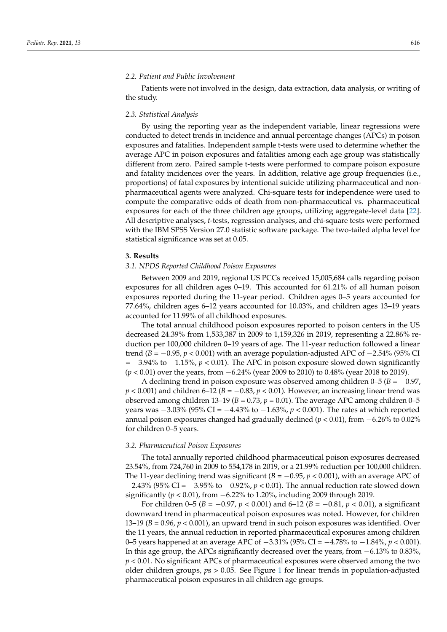#### *2.2. Patient and Public Involvement*

Patients were not involved in the design, data extraction, data analysis, or writing of the study.

#### *2.3. Statistical Analysis*

By using the reporting year as the independent variable, linear regressions were conducted to detect trends in incidence and annual percentage changes (APCs) in poison exposures and fatalities. Independent sample t-tests were used to determine whether the average APC in poison exposures and fatalities among each age group was statistically different from zero. Paired sample t-tests were performed to compare poison exposure and fatality incidences over the years. In addition, relative age group frequencies (i.e., proportions) of fatal exposures by intentional suicide utilizing pharmaceutical and nonpharmaceutical agents were analyzed. Chi-square tests for independence were used to compute the comparative odds of death from non-pharmaceutical vs. pharmaceutical exposures for each of the three children age groups, utilizing aggregate-level data [\[22\]](#page-9-21). All descriptive analyses, *t*-tests, regression analyses, and chi-square tests were performed with the IBM SPSS Version 27.0 statistic software package. The two-tailed alpha level for statistical significance was set at 0.05.

#### **3. Results**

## *3.1. NPDS Reported Childhood Poison Exposures*

Between 2009 and 2019, regional US PCCs received 15,005,684 calls regarding poison exposures for all children ages 0–19. This accounted for 61.21% of all human poison exposures reported during the 11-year period. Children ages 0–5 years accounted for 77.64%, children ages 6–12 years accounted for 10.03%, and children ages 13–19 years accounted for 11.99% of all childhood exposures.

The total annual childhood poison exposures reported to poison centers in the US decreased 24.39% from 1,533,387 in 2009 to 1,159,326 in 2019, representing a 22.86% reduction per 100,000 children 0–19 years of age. The 11-year reduction followed a linear trend (*B* = −0.95, *p* < 0.001) with an average population-adjusted APC of −2.54% (95% CI = −3.94% to −1.15%, *p* < 0.01). The APC in poison exposure slowed down significantly (*p* < 0.01) over the years, from −6.24% (year 2009 to 2010) to 0.48% (year 2018 to 2019).

A declining trend in poison exposure was observed among children 0–5 (*B* = −0.97, *p* < 0.001) and children 6–12 (*B* = −0.83, *p* < 0.01). However, an increasing linear trend was observed among children 13–19 ( $B = 0.73$ ,  $p = 0.01$ ). The average APC among children 0–5 years was −3.03% (95% CI = −4.43% to −1.63%, *p* < 0.001). The rates at which reported annual poison exposures changed had gradually declined (*p* < 0.01), from −6.26% to 0.02% for children 0–5 years.

#### *3.2. Pharmaceutical Poison Exposures*

The total annually reported childhood pharmaceutical poison exposures decreased 23.54%, from 724,760 in 2009 to 554,178 in 2019, or a 21.99% reduction per 100,000 children. The 11-year declining trend was significant ( $B = -0.95$ ,  $p < 0.001$ ), with an average APC of −2.43% (95% CI = −3.95% to −0.92%, *p* < 0.01). The annual reduction rate slowed down significantly (*p* < 0.01), from −6.22% to 1.20%, including 2009 through 2019.

For children 0–5 (*B* = −0.97, *p* < 0.001) and 6–12 (*B* = −0.81, *p* < 0.01), a significant downward trend in pharmaceutical poison exposures was noted. However, for children 13–19 (*B* = 0.96, *p* < 0.001), an upward trend in such poison exposures was identified. Over the 11 years, the annual reduction in reported pharmaceutical exposures among children 0–5 years happened at an average APC of −3.31% (95% CI = −4.78% to −1.84%, *p* < 0.001). In this age group, the APCs significantly decreased over the years, from −6.13% to 0.83%, *p* < 0.01. No significant APCs of pharmaceutical exposures were observed among the two older children groups, *p*s > 0.05. See Figure [1](#page-4-0) for linear trends in population-adjusted pharmaceutical poison exposures in all children age groups.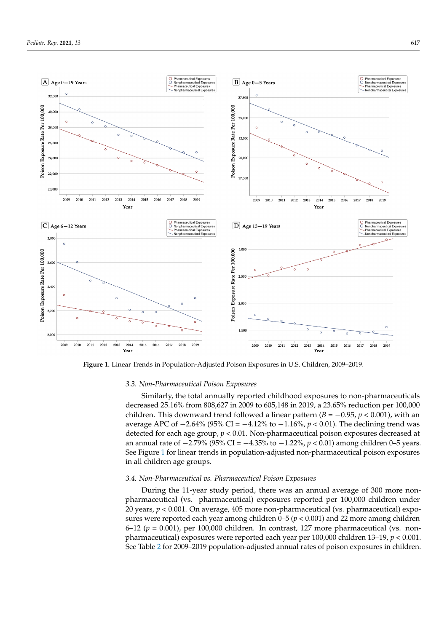<span id="page-4-0"></span>

 $\mathcal{A}^{\text{max}}_{\text{max}}$  and  $\mathcal{A}^{\text{max}}_{\text{max}}$  pediatric call center as part of using a pediatric call center as part of a quality of a quality of a quality of a quality of a quality of a quality of a quality of a quality

**Figure 1.** Linear Trends in Population-Adjusted Poison Exposures in U.S. Children, 2009–2019.

#### *3.3. Non-Pharmaceutical Poison Exposures*

Similarly, the total annually reported childhood exposures to non-pharmaceuticals decreased 25.16% from 808,627 in 2009 to 605,148 in 2019, a 23.65% reduction per 100,000 children. This downward trend followed a linear pattern  $(B = -0.95, p < 0.001)$ , with an average APC of −2.64% (95% CI = −4.12% to −1.16%, *p* < 0.01). The declining trend was detected for each age group, *p* < 0.01. Non-pharmaceutical poison exposures decreased at an annual rate of −2.79% (95% CI = −4.35% to −1.22%, *p* < 0.01) among children 0–5 years. See Figure [1](#page-4-0) for linear trends in population-adjusted non-pharmaceutical poison exposures in all children age groups.

# *3.4. Non-Pharmaceutical vs. Pharmaceutical Poison Exposures*

During the 11-year study period, there was an annual average of 300 more nonpharmaceutical (vs. pharmaceutical) exposures reported per 100,000 children under 20 years, *p* < 0.001. On average, 405 more non-pharmaceutical (vs. pharmaceutical) exposures were reported each year among children 0–5 (*p* < 0.001) and 22 more among children  $6-12$  ( $p = 0.001$ ), per 100,000 children. In contrast, 127 more pharmaceutical (vs. nonpharmaceutical) exposures were reported each year per 100,000 children 13–19, *p* < 0.001. See Table [2](#page-5-0) for 2009–2019 population-adjusted annual rates of poison exposures in children.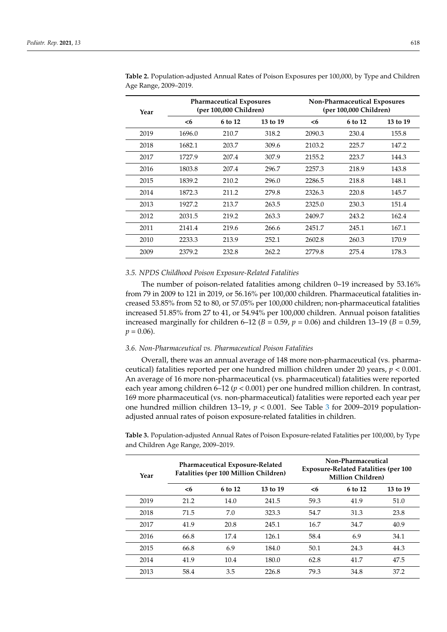| Year | <b>Pharmaceutical Exposures</b><br>(per 100,000 Children) |         |          | Non-Pharmaceutical Exposures<br>(per 100,000 Children) |         |          |
|------|-----------------------------------------------------------|---------|----------|--------------------------------------------------------|---------|----------|
|      | $6$                                                       | 6 to 12 | 13 to 19 | $6$                                                    | 6 to 12 | 13 to 19 |
| 2019 | 1696.0                                                    | 210.7   | 318.2    | 2090.3                                                 | 230.4   | 155.8    |
| 2018 | 1682.1                                                    | 203.7   | 309.6    | 2103.2                                                 | 225.7   | 147.2    |
| 2017 | 1727.9                                                    | 207.4   | 307.9    | 2155.2                                                 | 223.7   | 144.3    |
| 2016 | 1803.8                                                    | 207.4   | 296.7    | 2257.3                                                 | 218.9   | 143.8    |
| 2015 | 1839.2                                                    | 210.2   | 296.0    | 2286.5                                                 | 218.8   | 148.1    |
| 2014 | 1872.3                                                    | 211.2   | 279.8    | 2326.3                                                 | 220.8   | 145.7    |
| 2013 | 1927.2                                                    | 213.7   | 263.5    | 2325.0                                                 | 230.3   | 151.4    |
| 2012 | 2031.5                                                    | 219.2   | 263.3    | 2409.7                                                 | 243.2   | 162.4    |
| 2011 | 2141.4                                                    | 219.6   | 266.6    | 2451.7                                                 | 245.1   | 167.1    |
| 2010 | 2233.3                                                    | 213.9   | 252.1    | 2602.8                                                 | 260.3   | 170.9    |
| 2009 | 2379.2                                                    | 232.8   | 262.2    | 2779.8                                                 | 275.4   | 178.3    |

<span id="page-5-0"></span>**Table 2.** Population-adjusted Annual Rates of Poison Exposures per 100,000, by Type and Children Age Range, 2009–2019.

#### *3.5. NPDS Childhood Poison Exposure-Related Fatalities*

The number of poison-related fatalities among children 0–19 increased by 53.16% from 79 in 2009 to 121 in 2019, or 56.16% per 100,000 children. Pharmaceutical fatalities increased 53.85% from 52 to 80, or 57.05% per 100,000 children; non-pharmaceutical fatalities increased 51.85% from 27 to 41, or 54.94% per 100,000 children. Annual poison fatalities increased marginally for children 6–12 ( $B = 0.59$ ,  $p = 0.06$ ) and children 13–19 ( $B = 0.59$ ,  $p = 0.06$ .

# *3.6. Non-Pharmaceutical vs. Pharmaceutical Poison Fatalities*

Overall, there was an annual average of 148 more non-pharmaceutical (vs. pharmaceutical) fatalities reported per one hundred million children under 20 years,  $p < 0.001$ . An average of 16 more non-pharmaceutical (vs. pharmaceutical) fatalities were reported each year among children 6–12 (*p* < 0.001) per one hundred million children. In contrast, 169 more pharmaceutical (vs. non-pharmaceutical) fatalities were reported each year per one hundred million children 13–19, *p* < 0.001. See Table [3](#page-6-0) for 2009–2019 populationadjusted annual rates of poison exposure-related fatalities in children.

**Table 3.** Population-adjusted Annual Rates of Poison Exposure-related Fatalities per 100,000, by Type and Children Age Range, 2009–2019.

| Year | <b>Pharmaceutical Exposure-Related</b><br>Fatalities (per 100 Million Children) |         |          | Non-Pharmaceutical<br><b>Exposure-Related Fatalities (per 100</b><br><b>Million Children</b> ) |         |          |
|------|---------------------------------------------------------------------------------|---------|----------|------------------------------------------------------------------------------------------------|---------|----------|
|      | <6                                                                              | 6 to 12 | 13 to 19 | <6                                                                                             | 6 to 12 | 13 to 19 |
| 2019 | 21.2                                                                            | 14.0    | 241.5    | 59.3                                                                                           | 41.9    | 51.0     |
| 2018 | 71.5                                                                            | 7.0     | 323.3    | 54.7                                                                                           | 31.3    | 23.8     |
| 2017 | 41.9                                                                            | 20.8    | 245.1    | 16.7                                                                                           | 34.7    | 40.9     |
| 2016 | 66.8                                                                            | 17.4    | 126.1    | 58.4                                                                                           | 6.9     | 34.1     |
| 2015 | 66.8                                                                            | 6.9     | 184.0    | 50.1                                                                                           | 24.3    | 44.3     |
| 2014 | 41.9                                                                            | 10.4    | 180.0    | 62.8                                                                                           | 41.7    | 47.5     |
| 2013 | 58.4                                                                            | 3.5     | 226.8    | 79.3                                                                                           | 34.8    | 37.2     |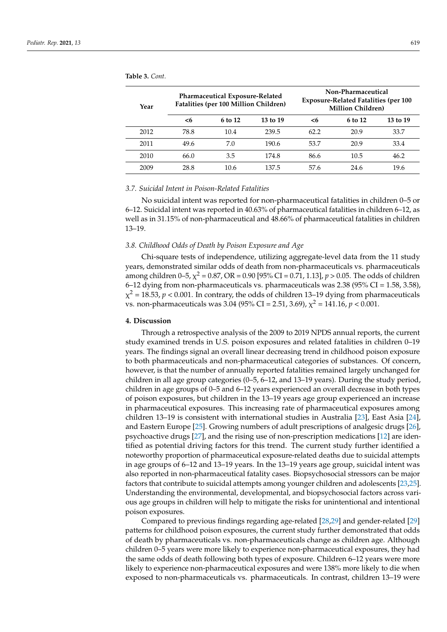| Year | <b>Pharmaceutical Exposure-Related</b><br>Fatalities (per 100 Million Children) |         |          | Non-Pharmaceutical<br><b>Exposure-Related Fatalities (per 100</b><br><b>Million Children</b> ) |         |          |
|------|---------------------------------------------------------------------------------|---------|----------|------------------------------------------------------------------------------------------------|---------|----------|
|      | <6                                                                              | 6 to 12 | 13 to 19 | <6                                                                                             | 6 to 12 | 13 to 19 |
| 2012 | 78.8                                                                            | 10.4    | 239.5    | 62.2                                                                                           | 20.9    | 33.7     |
| 2011 | 49.6                                                                            | 7.0     | 190.6    | 53.7                                                                                           | 20.9    | 33.4     |
| 2010 | 66.0                                                                            | 3.5     | 174.8    | 86.6                                                                                           | 10.5    | 46.2     |
| 2009 | 28.8                                                                            | 10.6    | 137.5    | 57.6                                                                                           | 24.6    | 19.6     |

<span id="page-6-0"></span>**Table 3.** *Cont.*

### *3.7. Suicidal Intent in Poison-Related Fatalities*

No suicidal intent was reported for non-pharmaceutical fatalities in children 0–5 or 6–12. Suicidal intent was reported in 40.63% of pharmaceutical fatalities in children 6–12, as well as in 31.15% of non-pharmaceutical and 48.66% of pharmaceutical fatalities in children 13–19.

#### *3.8. Childhood Odds of Death by Poison Exposure and Age*

Chi-square tests of independence, utilizing aggregate-level data from the 11 study years, demonstrated similar odds of death from non-pharmaceuticals vs. pharmaceuticals among children 0–5,  $\chi^2$  = 0.87, OR = 0.90 [95% CI = 0.71, 1.13],  $p$  > 0.05. The odds of children 6–12 dying from non-pharmaceuticals vs. pharmaceuticals was  $2.38$  (95% CI = 1.58, 3.58),  $\chi^2$  = 18.53,  $p$  < 0.001. In contrary, the odds of children 13–19 dying from pharmaceuticals vs. non-pharmaceuticals was 3.04 (95% CI = 2.51, 3.69),  $\chi^2$  = 141.16,  $p < 0.001$ .

#### **4. Discussion**

Through a retrospective analysis of the 2009 to 2019 NPDS annual reports, the current study examined trends in U.S. poison exposures and related fatalities in children 0–19 years. The findings signal an overall linear decreasing trend in childhood poison exposure to both pharmaceuticals and non-pharmaceutical categories of substances. Of concern, however, is that the number of annually reported fatalities remained largely unchanged for children in all age group categories (0–5, 6–12, and 13–19 years). During the study period, children in age groups of 0–5 and 6–12 years experienced an overall decrease in both types of poison exposures, but children in the 13–19 years age group experienced an increase in pharmaceutical exposures. This increasing rate of pharmaceutical exposures among children 13–19 is consistent with international studies in Australia [\[23\]](#page-9-22), East Asia [\[24\]](#page-9-23), and Eastern Europe [\[25\]](#page-9-24). Growing numbers of adult prescriptions of analgesic drugs [\[26\]](#page-9-25), psychoactive drugs [\[27\]](#page-10-0), and the rising use of non-prescription medications [\[12\]](#page-9-11) are identified as potential driving factors for this trend. The current study further identified a noteworthy proportion of pharmaceutical exposure-related deaths due to suicidal attempts in age groups of 6–12 and 13–19 years. In the 13–19 years age group, suicidal intent was also reported in non-pharmaceutical fatality cases. Biopsychosocial stressors can be major factors that contribute to suicidal attempts among younger children and adolescents [\[23](#page-9-22)[,25\]](#page-9-24). Understanding the environmental, developmental, and biopsychosocial factors across various age groups in children will help to mitigate the risks for unintentional and intentional poison exposures.

Compared to previous findings regarding age-related [\[28](#page-10-1)[,29\]](#page-10-2) and gender-related [\[29\]](#page-10-2) patterns for childhood poison exposures, the current study further demonstrated that odds of death by pharmaceuticals vs. non-pharmaceuticals change as children age. Although children 0–5 years were more likely to experience non-pharmaceutical exposures, they had the same odds of death following both types of exposure. Children 6–12 years were more likely to experience non-pharmaceutical exposures and were 138% more likely to die when exposed to non-pharmaceuticals vs. pharmaceuticals. In contrast, children 13–19 were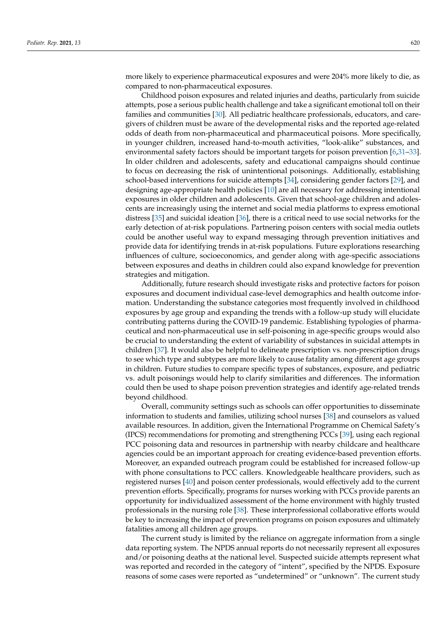more likely to experience pharmaceutical exposures and were 204% more likely to die, as compared to non-pharmaceutical exposures.

Childhood poison exposures and related injuries and deaths, particularly from suicide attempts, pose a serious public health challenge and take a significant emotional toll on their families and communities [\[30\]](#page-10-3). All pediatric healthcare professionals, educators, and caregivers of children must be aware of the developmental risks and the reported age-related odds of death from non-pharmaceutical and pharmaceutical poisons. More specifically, in younger children, increased hand-to-mouth activities, "look-alike" substances, and environmental safety factors should be important targets for poison prevention [\[6,](#page-9-5)[31](#page-10-4)[–33\]](#page-10-5). In older children and adolescents, safety and educational campaigns should continue to focus on decreasing the risk of unintentional poisonings. Additionally, establishing school-based interventions for suicide attempts [\[34\]](#page-10-6), considering gender factors [\[29\]](#page-10-2), and designing age-appropriate health policies [\[10\]](#page-9-9) are all necessary for addressing intentional exposures in older children and adolescents. Given that school-age children and adolescents are increasingly using the internet and social media platforms to express emotional distress [\[35\]](#page-10-7) and suicidal ideation [\[36\]](#page-10-8), there is a critical need to use social networks for the early detection of at-risk populations. Partnering poison centers with social media outlets could be another useful way to expand messaging through prevention initiatives and provide data for identifying trends in at-risk populations. Future explorations researching influences of culture, socioeconomics, and gender along with age-specific associations between exposures and deaths in children could also expand knowledge for prevention strategies and mitigation.

Additionally, future research should investigate risks and protective factors for poison exposures and document individual case-level demographics and health outcome information. Understanding the substance categories most frequently involved in childhood exposures by age group and expanding the trends with a follow-up study will elucidate contributing patterns during the COVID-19 pandemic. Establishing typologies of pharmaceutical and non-pharmaceutical use in self-poisoning in age-specific groups would also be crucial to understanding the extent of variability of substances in suicidal attempts in children [\[37\]](#page-10-9). It would also be helpful to delineate prescription vs. non-prescription drugs to see which type and subtypes are more likely to cause fatality among different age groups in children. Future studies to compare specific types of substances, exposure, and pediatric vs. adult poisonings would help to clarify similarities and differences. The information could then be used to shape poison prevention strategies and identify age-related trends beyond childhood.

Overall, community settings such as schools can offer opportunities to disseminate information to students and families, utilizing school nurses [\[38\]](#page-10-10) and counselors as valued available resources. In addition, given the International Programme on Chemical Safety's (IPCS) recommendations for promoting and strengthening PCCs [\[39\]](#page-10-11), using each regional PCC poisoning data and resources in partnership with nearby childcare and healthcare agencies could be an important approach for creating evidence-based prevention efforts. Moreover, an expanded outreach program could be established for increased follow-up with phone consultations to PCC callers. Knowledgeable healthcare providers, such as registered nurses [\[40\]](#page-10-12) and poison center professionals, would effectively add to the current prevention efforts. Specifically, programs for nurses working with PCCs provide parents an opportunity for individualized assessment of the home environment with highly trusted professionals in the nursing role [\[38\]](#page-10-10). These interprofessional collaborative efforts would be key to increasing the impact of prevention programs on poison exposures and ultimately fatalities among all children age groups.

The current study is limited by the reliance on aggregate information from a single data reporting system. The NPDS annual reports do not necessarily represent all exposures and/or poisoning deaths at the national level. Suspected suicide attempts represent what was reported and recorded in the category of "intent", specified by the NPDS. Exposure reasons of some cases were reported as "undetermined" or "unknown". The current study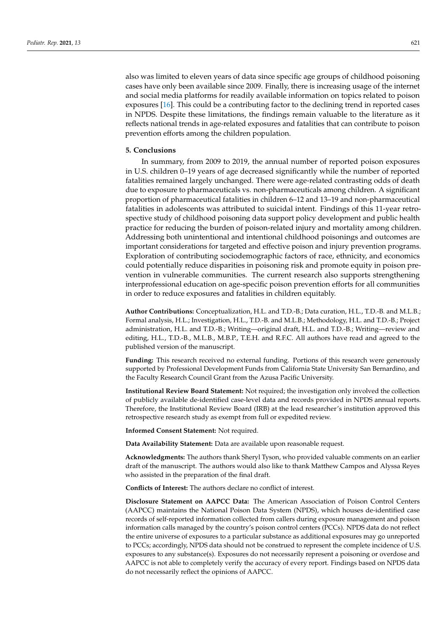also was limited to eleven years of data since specific age groups of childhood poisoning cases have only been available since 2009. Finally, there is increasing usage of the internet and social media platforms for readily available information on topics related to poison exposures [\[16\]](#page-9-15). This could be a contributing factor to the declining trend in reported cases in NPDS. Despite these limitations, the findings remain valuable to the literature as it reflects national trends in age-related exposures and fatalities that can contribute to poison prevention efforts among the children population.

## **5. Conclusions**

In summary, from 2009 to 2019, the annual number of reported poison exposures in U.S. children 0–19 years of age decreased significantly while the number of reported fatalities remained largely unchanged. There were age-related contrasting odds of death due to exposure to pharmaceuticals vs. non-pharmaceuticals among children. A significant proportion of pharmaceutical fatalities in children 6–12 and 13–19 and non-pharmaceutical fatalities in adolescents was attributed to suicidal intent. Findings of this 11-year retrospective study of childhood poisoning data support policy development and public health practice for reducing the burden of poison-related injury and mortality among children. Addressing both unintentional and intentional childhood poisonings and outcomes are important considerations for targeted and effective poison and injury prevention programs. Exploration of contributing sociodemographic factors of race, ethnicity, and economics could potentially reduce disparities in poisoning risk and promote equity in poison prevention in vulnerable communities. The current research also supports strengthening interprofessional education on age-specific poison prevention efforts for all communities in order to reduce exposures and fatalities in children equitably.

**Author Contributions:** Conceptualization, H.L. and T.D.-B.; Data curation, H.L., T.D.-B. and M.L.B.; Formal analysis, H.L.; Investigation, H.L., T.D.-B. and M.L.B.; Methodology, H.L. and T.D.-B.; Project administration, H.L. and T.D.-B.; Writing—original draft, H.L. and T.D.-B.; Writing—review and editing, H.L., T.D.-B., M.L.B., M.B.P., T.E.H. and R.F.C. All authors have read and agreed to the published version of the manuscript.

**Funding:** This research received no external funding. Portions of this research were generously supported by Professional Development Funds from California State University San Bernardino, and the Faculty Research Council Grant from the Azusa Pacific University.

**Institutional Review Board Statement:** Not required; the investigation only involved the collection of publicly available de-identified case-level data and records provided in NPDS annual reports. Therefore, the Institutional Review Board (IRB) at the lead researcher's institution approved this retrospective research study as exempt from full or expedited review.

**Informed Consent Statement:** Not required.

**Data Availability Statement:** Data are available upon reasonable request.

**Acknowledgments:** The authors thank Sheryl Tyson, who provided valuable comments on an earlier draft of the manuscript. The authors would also like to thank Matthew Campos and Alyssa Reyes who assisted in the preparation of the final draft.

**Conflicts of Interest:** The authors declare no conflict of interest.

**Disclosure Statement on AAPCC Data:** The American Association of Poison Control Centers (AAPCC) maintains the National Poison Data System (NPDS), which houses de-identified case records of self-reported information collected from callers during exposure management and poison information calls managed by the country's poison control centers (PCCs). NPDS data do not reflect the entire universe of exposures to a particular substance as additional exposures may go unreported to PCCs; accordingly, NPDS data should not be construed to represent the complete incidence of U.S. exposures to any substance(s). Exposures do not necessarily represent a poisoning or overdose and AAPCC is not able to completely verify the accuracy of every report. Findings based on NPDS data do not necessarily reflect the opinions of AAPCC.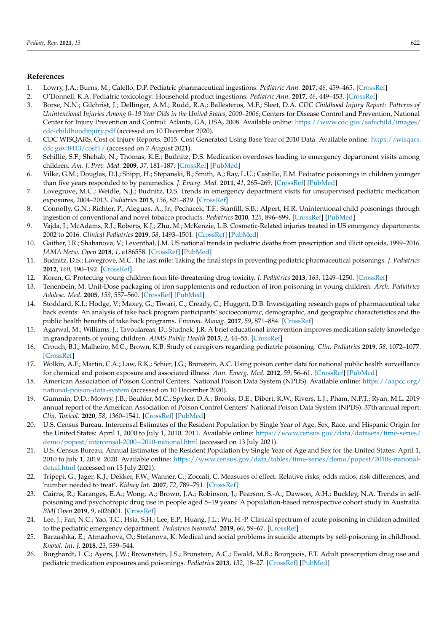## **References**

- <span id="page-9-0"></span>1. Lowry, J.A.; Burns, M.; Calello, D.P. Pediatric pharmaceutical ingestions. *Pediatric Ann.* **2017**, *46*, 459–465. [\[CrossRef\]](http://doi.org/10.3928/19382359-20171122-01)
- <span id="page-9-1"></span>2. O'Donnell, K.A. Pediatric toxicology: Household product ingestions. *Pediatric Ann.* **2017**, *46*, 449–453. [\[CrossRef\]](http://doi.org/10.3928/19382359-20171120-04)
- <span id="page-9-2"></span>3. Borse, N.N.; Gilchrist, J.; Dellinger, A.M.; Rudd, R.A.; Ballesteros, M.F.; Sleet, D.A. *CDC Childhood Injury Report: Patterns of Unintentional Injuries Among 0–19 Year Olds in the United States, 2000–2006*; Centers for Disease Control and Prevention, National Center for Injury Prevention and Control: Atlanta, GA, USA, 2008. Available online: [https://www.cdc.gov/safechild/images/](https://www.cdc.gov/safechild/images/cdc-childhoodinjury.pdf) [cdc-childhoodinjury.pdf](https://www.cdc.gov/safechild/images/cdc-childhoodinjury.pdf) (accessed on 10 December 2020).
- <span id="page-9-3"></span>4. CDC WISQARS. Cost of Injury Reports. 2015. Cost Generated Using Base Year of 2010 Data. Available online: [https://wisqars.](https://wisqars.cdc.gov:8443/costT/) [cdc.gov:8443/costT/](https://wisqars.cdc.gov:8443/costT/) (accessed on 7 August 2021).
- <span id="page-9-4"></span>5. Schillie, S.F.; Shehab, N.; Thomas, K.E.; Budnitz, D.S. Medication overdoses leading to emergency department visits among children. *Am. J. Prev. Med.* **2009**, *37*, 181–187. [\[CrossRef\]](http://doi.org/10.1016/j.amepre.2009.05.018) [\[PubMed\]](http://www.ncbi.nlm.nih.gov/pubmed/19666156)
- <span id="page-9-5"></span>6. Vilke, G.M.; Douglas, D.J.; Shipp, H.; Stepanski, B.; Smith, A.; Ray, L.U.; Castillo, E.M. Pediatric poisonings in children younger than five years responded to by paramedics. *J. Emerg. Med.* **2011**, *41*, 265–269. [\[CrossRef\]](http://doi.org/10.1016/j.jemermed.2010.10.018) [\[PubMed\]](http://www.ncbi.nlm.nih.gov/pubmed/21215556)
- <span id="page-9-6"></span>7. Lovegrove, M.C.; Weidle, N.J.; Budnitz, D.S. Trends in emergency department visits for unsupervised pediatric medication exposures, 2004–2013. *Pediatrics* **2015**, *136*, 821–829. [\[CrossRef\]](http://doi.org/10.1542/peds.2015-2092)
- <span id="page-9-7"></span>8. Connolly, G.N.; Richter, P.; Aleguas, A., Jr.; Pechacek, T.F.; Stanfill, S.B.; Alpert, H.R. Unintentional child poisonings through ingestion of conventional and novel tobacco products. *Pediatrics* **2010**, *125*, 896–899. [\[CrossRef\]](http://doi.org/10.1542/peds.2009-2835) [\[PubMed\]](http://www.ncbi.nlm.nih.gov/pubmed/20403932)
- <span id="page-9-8"></span>9. Vajda, J.; McAdams, R.J.; Roberts, K.J.; Zhu, M.; McKenzie, L.B. Cosmetic-Related injuries treated in US emergency departments: 2002 to 2016. *Clinical Pediatrics* **2019**, *58*, 1493–1501. [\[CrossRef\]](http://doi.org/10.1177/0009922819850492) [\[PubMed\]](http://www.ncbi.nlm.nih.gov/pubmed/31203655)
- <span id="page-9-9"></span>10. Gaither, J.R.; Shabanova, V.; Leventhal, J.M. US national trends in pediatric deaths from prescription and illicit opioids, 1999–2016. *JAMA Netw. Open* **2018**, *1*, e186558. [\[CrossRef\]](http://doi.org/10.1001/jamanetworkopen.2018.6558) [\[PubMed\]](http://www.ncbi.nlm.nih.gov/pubmed/30646334)
- <span id="page-9-10"></span>11. Budnitz, D.S.; Lovegrove, M.C. The last mile: Taking the final steps in preventing pediatric pharmaceutical poisonings. *J. Pediatrics* **2012**, *160*, 190–192. [\[CrossRef\]](http://doi.org/10.1016/j.jpeds.2011.09.020)
- <span id="page-9-11"></span>12. Koren, G. Protecting young children from life-threatening drug toxicity. *J. Pediatrics* **2013**, *163*, 1249–1250. [\[CrossRef\]](http://doi.org/10.1016/j.jpeds.2013.05.039)
- <span id="page-9-12"></span>13. Tenenbein, M. Unit-Dose packaging of iron supplements and reduction of iron poisoning in young children. *Arch. Pediatrics Adolesc. Med.* **2005**, *159*, 557–560. [\[CrossRef\]](http://doi.org/10.1001/archpedi.159.6.557) [\[PubMed\]](http://www.ncbi.nlm.nih.gov/pubmed/15939855)
- <span id="page-9-13"></span>14. Stoddard, K.I.; Hodge, V.; Maxey, G.; Tiwari, C.; Cready, C.; Huggett, D.B. Investigating research gaps of pharmaceutical take back events: An analysis of take back program participants' socioeconomic, demographic, and geographic characteristics and the public health benefits of take back programs. *Environ. Manag.* **2017**, *59*, 871–884. [\[CrossRef\]](http://doi.org/10.1007/s00267-017-0834-3)
- <span id="page-9-14"></span>15. Agarwal, M.; Williams, J.; Tavoulareas, D.; Studnek, J.R. A brief educational intervention improves medication safety knowledge in grandparents of young children. *AIMS Public Health* **2015**, *2*, 44–55. [\[CrossRef\]](http://doi.org/10.3934/publichealth.2015.1.44)
- <span id="page-9-15"></span>16. Crouch, B.I.; Malheiro, M.C.; Brown, K.B. Study of caregivers regarding pediatric poisoning. *Clin. Pediatrics* **2019**, *58*, 1072–1077. [\[CrossRef\]](http://doi.org/10.1177/0009922819863665)
- <span id="page-9-16"></span>17. Wolkin, A.F.; Martin, C.A.; Law, R.K.; Schier, J.G.; Bronstein, A.C. Using poison center data for national public health surveillance for chemical and poison exposure and associated illness. *Ann. Emerg. Med.* **2012**, *59*, 56–61. [\[CrossRef\]](http://doi.org/10.1016/j.annemergmed.2011.08.004) [\[PubMed\]](http://www.ncbi.nlm.nih.gov/pubmed/21937144)
- <span id="page-9-17"></span>18. American Association of Poison Control Centers. National Poison Data System (NPDS). Available online: [https://aapcc.org/](https://aapcc.org/national-poison-data-system) [national-poison-data-system](https://aapcc.org/national-poison-data-system) (accessed on 10 December 2020).
- <span id="page-9-18"></span>19. Gummin, D.D.; Mowry, J.B.; Beuhler, M.C.; Spyker, D.A.; Brooks, D.E.; Dibert, K.W.; Rivers, L.J.; Pham, N.P.T.; Ryan, M.L. 2019 annual report of the American Association of Poison Control Centers' National Poison Data System (NPDS): 37th annual report. *Clin. Toxicol.* **2020**, *58*, 1360–1541. [\[CrossRef\]](http://doi.org/10.1080/15563650.2020.1834219) [\[PubMed\]](http://www.ncbi.nlm.nih.gov/pubmed/33305966)
- <span id="page-9-19"></span>20. U.S. Census Bureau. Intercensal Estimates of the Resident Population by Single Year of Age, Sex, Race, and Hispanic Origin for the United States: April 1, 2000 to July 1, 2010. 2011. Available online: [https://www.census.gov/data/datasets/time-series/](https://www.census.gov/data/datasets/time-series/demo/popest/intercensal-2000--2010-national.html) [demo/popest/intercensal-2000--2010-national.html](https://www.census.gov/data/datasets/time-series/demo/popest/intercensal-2000--2010-national.html) (accessed on 13 July 2021).
- <span id="page-9-20"></span>21. U.S. Census Bureau. Annual Estimates of the Resident Population by Single Year of Age and Sex for the United States: April 1, 2010 to July 1, 2019. 2020. Available online: [https://www.census.gov/data/tables/time-series/demo/popest/2010s-national](https://www.census.gov/data/tables/time-series/demo/popest/2010s-national-detail.html)[detail.html](https://www.census.gov/data/tables/time-series/demo/popest/2010s-national-detail.html) (accessed on 13 July 2021).
- <span id="page-9-21"></span>22. Tripepi, G.; Jager, K.J.; Dekker, F.W.; Wanner, C.; Zoccali, C. Measures of effect: Relative risks, odds ratios, risk differences, and 'number needed to treat'. *Kidney Int.* **2007**, *72*, 789–791. [\[CrossRef\]](http://doi.org/10.1038/sj.ki.5002432)
- <span id="page-9-22"></span>23. Cairns, R.; Karanges, E.A.; Wong, A.; Brown, J.A.; Robinson, J.; Pearson, S.-A.; Dawson, A.H.; Buckley, N.A. Trends in selfpoisoning and psychotropic drug use in people aged 5–19 years: A population-based retrospective cohort study in Australia. *BMJ Open* **2019**, *9*, e026001. [\[CrossRef\]](http://doi.org/10.1136/bmjopen-2018-026001)
- <span id="page-9-23"></span>24. Lee, J.; Fan, N.C.; Yao, T.C.; Hsia, S.H.; Lee, E.P.; Huang, J.L.; Wu, H.-P. Clinical spectrum of acute poisoning in children admitted to the pediatric emergency department. *Pediatrics Neonatol.* **2019**, *60*, 59–67. [\[CrossRef\]](http://doi.org/10.1016/j.pedneo.2018.04.001)
- <span id="page-9-24"></span>25. Barzashka, E.; Atmazhova, O.; Stefanova, K. Medical and social problems in suicide attempts by self-poisoning in childhood. *Knowl. Int. J.* **2018**, *23*, 539–544.
- <span id="page-9-25"></span>26. Burghardt, L.C.; Ayers, J.W.; Brownstein, J.S.; Bronstein, A.C.; Ewald, M.B.; Bourgeois, F.T. Adult prescription drug use and pediatric medication exposures and poisonings. *Pediatrics* **2013**, *132*, 18–27. [\[CrossRef\]](http://doi.org/10.1542/peds.2012-2978) [\[PubMed\]](http://www.ncbi.nlm.nih.gov/pubmed/23733792)